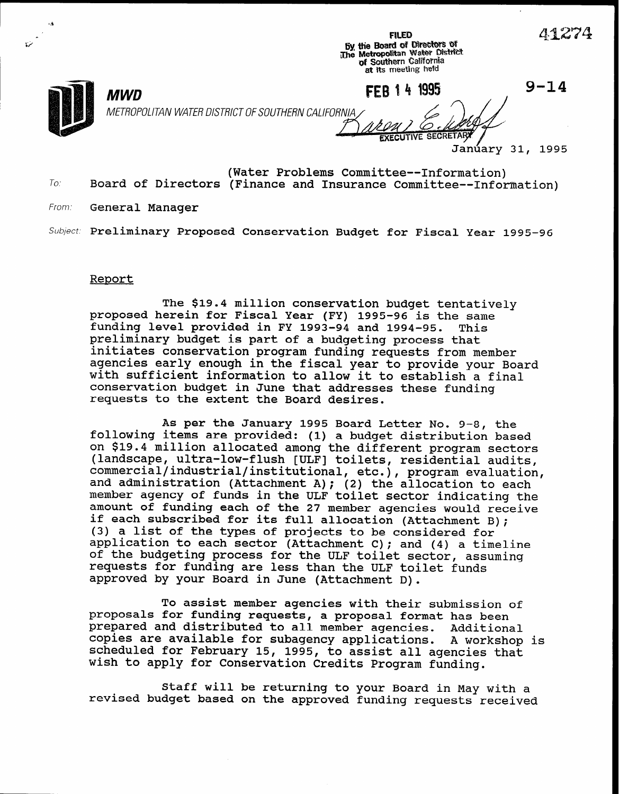

 $\frac{1}{427}$ by the Board of Unrectors of<br>The Metropolitan Water District<br>of Southern California at its meeting held

 $MWD$  6-14 FEB 1 4 1995

 $\cdot$ 

METROPOLITAN WATER DISTRICT OF SOUTHERN CALIFOR

**JTIVE SECRETARY** Janúary 31, 1995

(Water Problems Committee--Information)  $To:$  Board of Directors (Finance and Insurance Committee--Information)

From: **General Manager** 

Subject: Preliminary Proposed Conservation Budget for Fiscal Year 1995-96

#### Report

The \$19.4 million conservation budget tentatively proposed herein for Fiscal Year (FY) 1995-96 is the same funding level provided in FY 1993-94 and 1994-95. This preliminary budget is part of a budgeting process that initiates conservation program funding requests from member agencies early enough in the fiscal year to provide your Board with sufficient information to allow it to establish a final conservation budget in June that addresses these funding requests to the extent the Board desires.

As per the January 1995 Board Letter No. 9-8, the following items are provided: (1) a budget distribution based on \$19.4 million allocated among the different program sectors (landscape, ultra-low-flush [ULFJ toilets, residential audits, commercial/industrial/institutional, etc.), program evaluation, and administration (Attachment A); (2) the allocation to each member agency of funds in the ULF toilet sector indicating the amount of funding each of the 27 member agencies would receive if each subscribed for its full allocation (Attachment B); (3) a list of the types of projects to be considered for application to each sector (Attachment C); and (4) a timeline of the budgeting process for the ULF toilet sector, assuming requests for funding are less than the ULF toilet funds approved by your Board in June (Attachment D).

To assist member agencies with their submission of proposals for funding requests, a proposal format has been prepared and distributed to all member agencies. Additional copies are available for subagency applications. scheduled for February 15, 1995, to assist all agencies tha A workshop is wish to apply for Conservation Credits Program funding.

Staff will be returning to your Board in May with a revised budget based on the approved funding requests received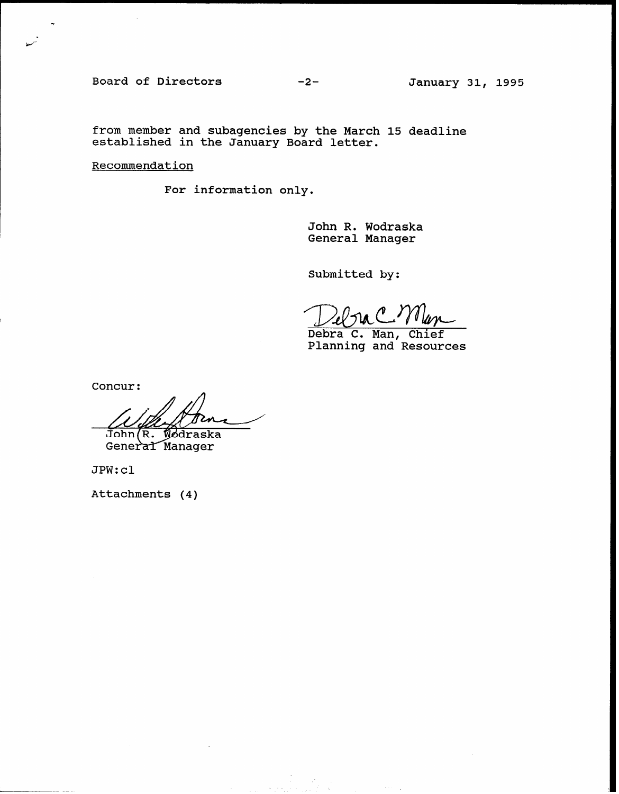Board of Directors -2- January 31, 1995

",

. w-

from member and subagencies by the March 15 deadlin established in the January Board lett $\epsilon$ 

**Recommendation** 

For information only.

John R. Wodraska General Manager

Submitted by:

Debra C. Man, Chie

Planning and Resource

Concur:

John(R. wdraska

General Manager

JPW:cl

Attachments (4)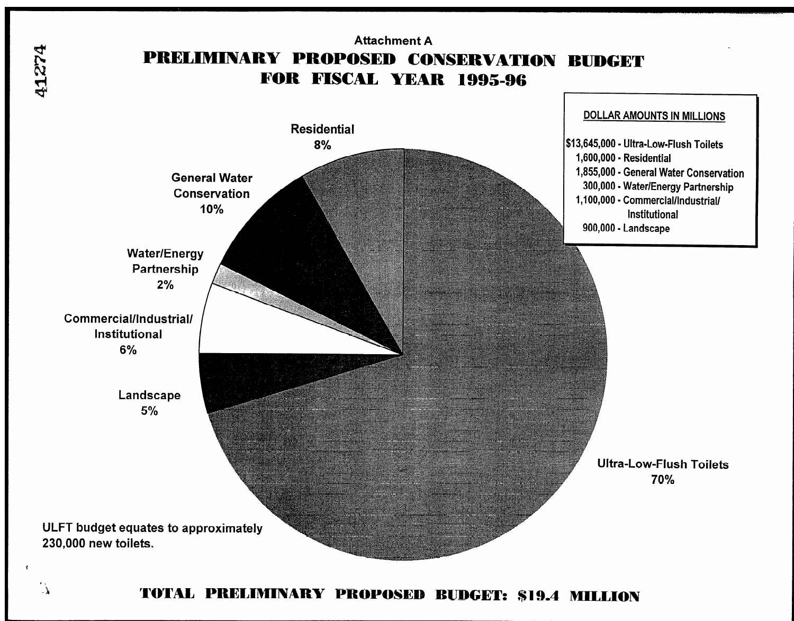

## TOTAL PRELIMINARY PROPOSED BUDGET: \$19.4 MILLION

41274

 $\cdot$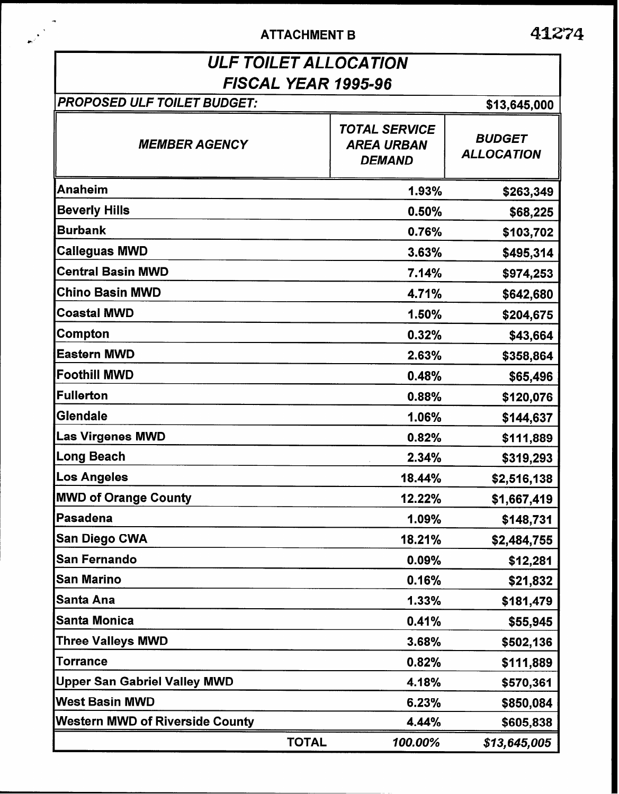# ATTACHMENT B 41274

# ULF TOILETALLOCATION FISCAL YEAR 1995-96

| PROPOSED ULF TOILET BUDGET:            |              |                                                            | \$13,645,000                       |
|----------------------------------------|--------------|------------------------------------------------------------|------------------------------------|
| <b>MEMBER AGENCY</b>                   |              | <b>TOTAL SERVICE</b><br><b>AREA URBAN</b><br><b>DEMAND</b> | <b>BUDGET</b><br><b>ALLOCATION</b> |
| <b>Anaheim</b>                         |              | 1.93%                                                      | \$263,349                          |
| <b>Beverly Hills</b>                   |              | 0.50%                                                      | \$68,225                           |
| Burbank                                |              | 0.76%                                                      | \$103,702                          |
| <b>Calleguas MWD</b>                   |              | 3.63%                                                      | \$495,314                          |
| <b>Central Basin MWD</b>               |              | 7.14%                                                      | \$974,253                          |
| <b>Chino Basin MWD</b>                 |              | 4.71%                                                      | \$642,680                          |
| <b>Coastal MWD</b>                     |              | 1.50%                                                      | \$204,675                          |
| Compton                                |              | 0.32%                                                      | \$43,664                           |
| <b>Eastern MWD</b>                     |              | 2.63%                                                      | \$358,864                          |
| <b>Foothill MWD</b>                    |              | 0.48%                                                      | \$65,496                           |
| Fullerton                              |              | 0.88%                                                      | \$120,076                          |
| Glendale                               |              | 1.06%                                                      | \$144,637                          |
| <b>Las Virgenes MWD</b>                |              | 0.82%                                                      | \$111,889                          |
| <b>Long Beach</b>                      |              | 2.34%                                                      | \$319,293                          |
| Los Angeles                            |              | 18.44%                                                     | \$2,516,138                        |
| <b>MWD of Orange County</b>            |              | 12.22%                                                     | \$1,667,419                        |
| Pasadena                               |              | 1.09%                                                      | \$148,731                          |
| <b>San Diego CWA</b>                   |              | 18.21%                                                     | \$2,484,755                        |
| San Fernando                           |              | 0.09%                                                      | \$12,281                           |
| <b>San Marino</b>                      |              | 0.16%                                                      | \$21,832                           |
| Santa Ana                              |              | 1.33%                                                      | \$181,479                          |
| <b>Santa Monica</b>                    |              | 0.41%                                                      | \$55,945                           |
| <b>Three Valleys MWD</b>               |              | 3.68%                                                      | \$502,136                          |
| <b>Torrance</b>                        |              | 0.82%                                                      | \$111,889                          |
| <b>Upper San Gabriel Valley MWD</b>    |              | 4.18%                                                      | \$570,361                          |
| <b>West Basin MWD</b>                  |              | 6.23%                                                      | \$850,084                          |
| <b>Western MWD of Riverside County</b> |              | 4.44%                                                      | \$605,838                          |
|                                        | <b>TOTAL</b> | 100.00%                                                    | \$13,645,005                       |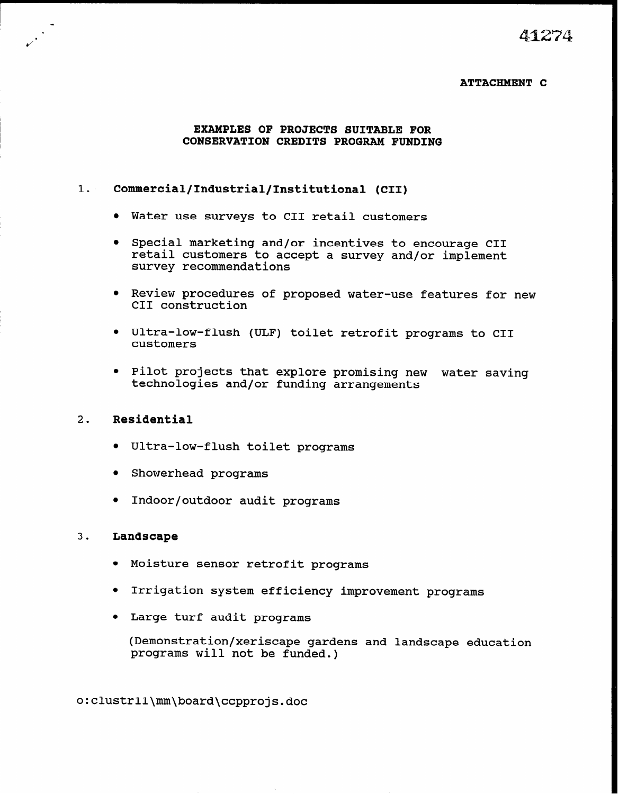4:1%X

#### ATTACHMENT C

#### EXAMPLES OF PROJECTS SUITABLE FOR CONSERVATION CREDITS PROGRAM FUNDING

#### 1. Commercial/Industrial/Institutional (CII)

- $\bullet$  Water use surveys to CII retail customers
- Special marketing and/or incentives to encourage CII retail customers to accept a survey and/or implement survey recommendations
- Review procedures of proposed water-use features for new CII construction
- Ultra-low-flush (ULF) toilet retrofit programs to CII customers
- Pilot projects that explore promising new water saving technologies and/or funding arrangements

#### 2. Residential

\* . . wr

- Ultra-low-flush toilet programs
- Showerhead programs
- Indoor/outdoor audit programs

#### 3. Landscape

- Moisture sensor retrofit programs
- **•** Irrigation system efficiency improvement programs
- Large turf audit programs

(Demonstration/xeriscape gardens and landscape education programs will not be funded.)

o:clustrll\mm\board\ccpprojs.doc